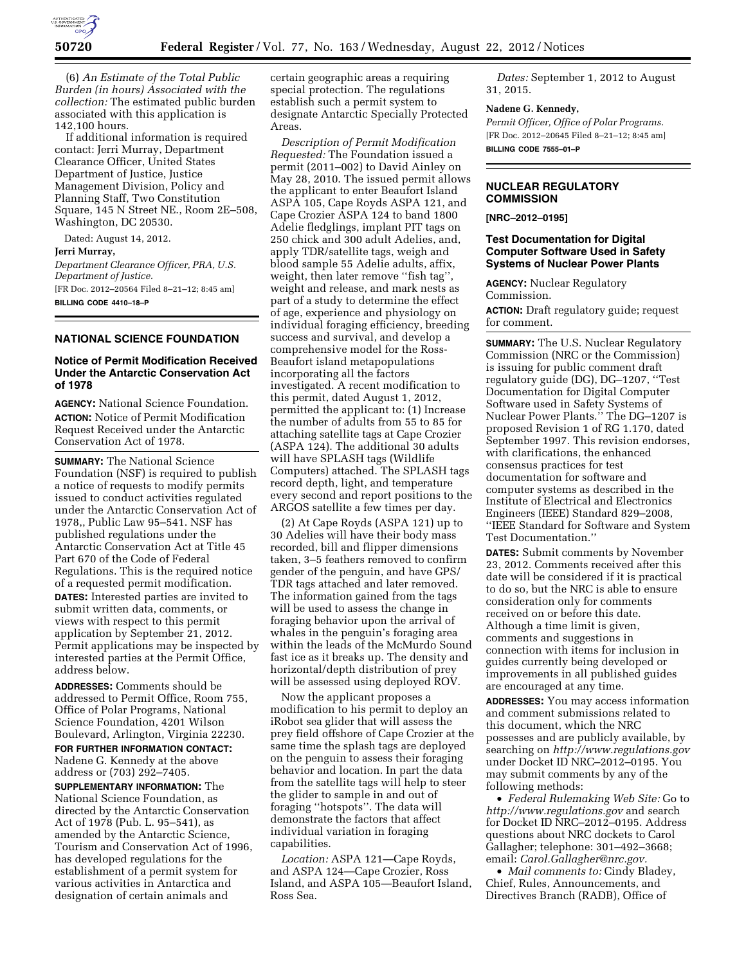

(6) *An Estimate of the Total Public Burden (in hours) Associated with the collection:* The estimated public burden associated with this application is 142,100 hours.

If additional information is required contact: Jerri Murray, Department Clearance Officer, United States Department of Justice, Justice Management Division, Policy and Planning Staff, Two Constitution Square, 145 N Street NE., Room 2E–508, Washington, DC 20530.

Dated: August 14, 2012. **Jerri Murray,** 

*Department Clearance Officer, PRA, U.S. Department of Justice.*  [FR Doc. 2012–20564 Filed 8–21–12; 8:45 am] **BILLING CODE 4410–18–P** 

# **NATIONAL SCIENCE FOUNDATION**

# **Notice of Permit Modification Received Under the Antarctic Conservation Act of 1978**

**AGENCY:** National Science Foundation. **ACTION:** Notice of Permit Modification Request Received under the Antarctic Conservation Act of 1978.

**SUMMARY:** The National Science Foundation (NSF) is required to publish a notice of requests to modify permits issued to conduct activities regulated under the Antarctic Conservation Act of 1978,, Public Law 95–541. NSF has published regulations under the Antarctic Conservation Act at Title 45 Part 670 of the Code of Federal Regulations. This is the required notice of a requested permit modification. **DATES:** Interested parties are invited to submit written data, comments, or views with respect to this permit application by September 21, 2012. Permit applications may be inspected by interested parties at the Permit Office, address below.

**ADDRESSES:** Comments should be addressed to Permit Office, Room 755, Office of Polar Programs, National Science Foundation, 4201 Wilson Boulevard, Arlington, Virginia 22230. **FOR FURTHER INFORMATION CONTACT:**  Nadene G. Kennedy at the above address or (703) 292–7405.

**SUPPLEMENTARY INFORMATION:** The National Science Foundation, as directed by the Antarctic Conservation Act of 1978 (Pub. L. 95–541), as amended by the Antarctic Science, Tourism and Conservation Act of 1996, has developed regulations for the establishment of a permit system for various activities in Antarctica and designation of certain animals and

certain geographic areas a requiring special protection. The regulations establish such a permit system to designate Antarctic Specially Protected Areas.

*Description of Permit Modification Requested:* The Foundation issued a permit (2011–002) to David Ainley on May 28, 2010. The issued permit allows the applicant to enter Beaufort Island ASPA 105, Cape Royds ASPA 121, and Cape Crozier ASPA 124 to band 1800 Adelie fledglings, implant PIT tags on 250 chick and 300 adult Adelies, and, apply TDR/satellite tags, weigh and blood sample 55 Adelie adults, affix, weight, then later remove ''fish tag'', weight and release, and mark nests as part of a study to determine the effect of age, experience and physiology on individual foraging efficiency, breeding success and survival, and develop a comprehensive model for the Ross-Beaufort island metapopulations incorporating all the factors investigated. A recent modification to this permit, dated August 1, 2012, permitted the applicant to: (1) Increase the number of adults from 55 to 85 for attaching satellite tags at Cape Crozier (ASPA 124). The additional 30 adults will have SPLASH tags (Wildlife Computers) attached. The SPLASH tags record depth, light, and temperature every second and report positions to the ARGOS satellite a few times per day.

(2) At Cape Royds (ASPA 121) up to 30 Adelies will have their body mass recorded, bill and flipper dimensions taken, 3–5 feathers removed to confirm gender of the penguin, and have GPS/ TDR tags attached and later removed. The information gained from the tags will be used to assess the change in foraging behavior upon the arrival of whales in the penguin's foraging area within the leads of the McMurdo Sound fast ice as it breaks up. The density and horizontal/depth distribution of prey will be assessed using deployed ROV.

Now the applicant proposes a modification to his permit to deploy an iRobot sea glider that will assess the prey field offshore of Cape Crozier at the same time the splash tags are deployed on the penguin to assess their foraging behavior and location. In part the data from the satellite tags will help to steer the glider to sample in and out of foraging ''hotspots''. The data will demonstrate the factors that affect individual variation in foraging capabilities.

*Location:* ASPA 121—Cape Royds, and ASPA 124—Cape Crozier, Ross Island, and ASPA 105—Beaufort Island, Ross Sea.

*Dates:* September 1, 2012 to August 31, 2015.

## **Nadene G. Kennedy,**

*Permit Officer, Office of Polar Programs.*  [FR Doc. 2012–20645 Filed 8–21–12; 8:45 am] **BILLING CODE 7555–01–P** 

#### **NUCLEAR REGULATORY COMMISSION**

**[NRC–2012–0195]** 

# **Test Documentation for Digital Computer Software Used in Safety Systems of Nuclear Power Plants**

**AGENCY:** Nuclear Regulatory Commission.

**ACTION:** Draft regulatory guide; request for comment.

**SUMMARY:** The U.S. Nuclear Regulatory Commission (NRC or the Commission) is issuing for public comment draft regulatory guide (DG), DG–1207, ''Test Documentation for Digital Computer Software used in Safety Systems of Nuclear Power Plants.'' The DG–1207 is proposed Revision 1 of RG 1.170, dated September 1997. This revision endorses, with clarifications, the enhanced consensus practices for test documentation for software and computer systems as described in the Institute of Electrical and Electronics Engineers (IEEE) Standard 829–2008, ''IEEE Standard for Software and System Test Documentation.''

**DATES:** Submit comments by November 23, 2012. Comments received after this date will be considered if it is practical to do so, but the NRC is able to ensure consideration only for comments received on or before this date. Although a time limit is given, comments and suggestions in connection with items for inclusion in guides currently being developed or improvements in all published guides are encouraged at any time.

**ADDRESSES:** You may access information and comment submissions related to this document, which the NRC possesses and are publicly available, by searching on *<http://www.regulations.gov>*  under Docket ID NRC–2012–0195. You may submit comments by any of the following methods:

• *Federal Rulemaking Web Site:* Go to *<http://www.regulations.gov>* and search for Docket ID NRC–2012–0195. Address questions about NRC dockets to Carol Gallagher; telephone: 301–492–3668; email: *[Carol.Gallagher@nrc.gov.](mailto:Carol.Gallagher@nrc.gov)* 

• *Mail comments to:* Cindy Bladey, Chief, Rules, Announcements, and Directives Branch (RADB), Office of